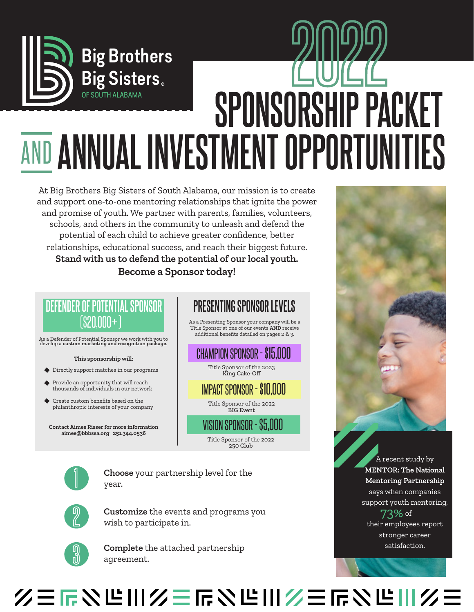

At Big Brothers Big Sisters of South Alabama, our mission is to create and support one-to-one mentoring relationships that ignite the power and promise of youth. We partner with parents, families, volunteers, schools, and others in the community to unleash and defend the potential of each child to achieve greater confidence, better relationships, educational success, and reach their biggest future. **Stand with us to defend the potential of our local youth. Become a Sponsor today!**

## **DEFENDER OF POTENTIAL SPONSOR**

As a Defender of Potential Sponsor we work with you to develop a **custom marketing and recognition package**.

#### **This sponsorship will:**

- Directly support matches in our programs
- Provide an opportunity that will reach thousands of individuals in our network
- Create custom benefits based on the philanthropic interests of your company

**Contact Aimee Risser for more information aimee@bbbssa.org 251.344.0536**

#### **PRESENTING SPONSOR LEVELS**

 $\left(\frac{10}{20000} + \right)$  As a Presenting Sponsor your company will be a Title Sponsor at one of our events **AND** receive additional benefits detailed on pages 2 & 3.

#### CHAMPION SPONSOR - \$15,000

Title Sponsor of the 2023 King Cake-Off

#### IMPACT SPONSOR - \$10,000

Title Sponsor of the 2022 BIG Event

VISION SPONSOR - \$5,000 Title Sponsor of the 2022 250 Club



**Choose** your partnership level for the year.



**Customize** the events and programs you wish to participate in.



**Complete** the attached partnership agreement.



A recent study by **MENTOR: The National Mentoring Partnership**  says when companies support youth mentoring, 73% of their employees report

stronger career satisfaction.

## 2000年的世界的三个人的第三人称单数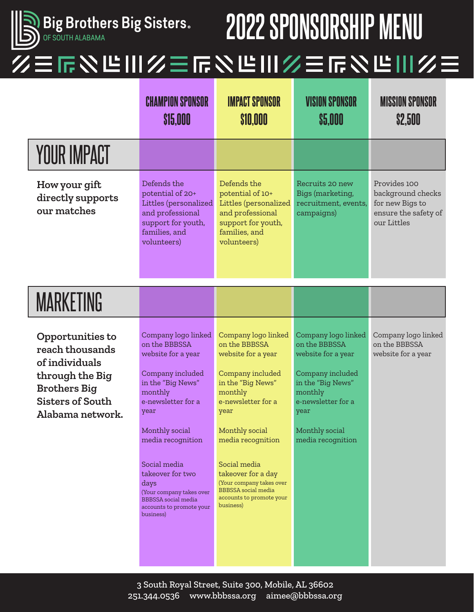

## **2022 SPONSORSHIP MENU**

### 三斤以近川乡三斤又近川乡三斤又近川乡三

|                                                                                                                                                | <b>CHAMPION SPONSOR</b><br><b>\$15,000</b>                                                                                                                                                                                                                                                                                         | <b>IMPACT SPONSOR</b><br>\$10,000                                                                                                                                                                                                                                                                                            | <b><i>VISION SPONSOR</i></b><br>\$5,000                                                                                                                                             | <b>MISSION SPONSOR</b><br><b>\$2,500</b>                                                    |
|------------------------------------------------------------------------------------------------------------------------------------------------|------------------------------------------------------------------------------------------------------------------------------------------------------------------------------------------------------------------------------------------------------------------------------------------------------------------------------------|------------------------------------------------------------------------------------------------------------------------------------------------------------------------------------------------------------------------------------------------------------------------------------------------------------------------------|-------------------------------------------------------------------------------------------------------------------------------------------------------------------------------------|---------------------------------------------------------------------------------------------|
| <b>YOUR IMPACT</b>                                                                                                                             |                                                                                                                                                                                                                                                                                                                                    |                                                                                                                                                                                                                                                                                                                              |                                                                                                                                                                                     |                                                                                             |
| How your gift<br>directly supports<br>our matches                                                                                              | Defends the<br>potential of 20+<br>Littles (personalized<br>and professional<br>support for youth,<br>families, and<br>volunteers)                                                                                                                                                                                                 | Defends the<br>potential of 10+<br>Littles (personalized<br>and professional<br>support for youth,<br>families, and<br>volunteers)                                                                                                                                                                                           | Recruits 20 new<br>Bigs (marketing,<br>recruitment, events,<br>campaigns)                                                                                                           | Provides 100<br>background checks<br>for new Bigs to<br>ensure the safety of<br>our Littles |
| <b>MARKETING</b>                                                                                                                               |                                                                                                                                                                                                                                                                                                                                    |                                                                                                                                                                                                                                                                                                                              |                                                                                                                                                                                     |                                                                                             |
| Opportunities to<br>reach thousands<br>of individuals<br>through the Big<br><b>Brothers Big</b><br><b>Sisters of South</b><br>Alabama network. | Company logo linked<br>on the BBBSSA<br>website for a year<br>Company included<br>in the "Big News"<br>monthly<br>e-newsletter for a<br>year<br>Monthly social<br>media recognition<br>Social media<br>takeover for two<br>days<br>(Your company takes over<br><b>BBBSSA</b> social media<br>accounts to promote your<br>business) | Company logo linked<br>on the BBBSSA<br>website for a year<br>Company included<br>in the "Big News"<br>monthly<br>e-newsletter for a<br>year<br>Monthly social<br>media recognition<br>Social media<br>takeover for a day<br>(Your company takes over<br><b>BBBSSA</b> social media<br>accounts to promote your<br>business) | Company logo linked<br>on the BBBSSA<br>website for a year<br>Company included<br>in the "Big News"<br>monthly<br>e-newsletter for a<br>year<br>Monthly social<br>media recognition | Company logo linked<br>on the BBBSSA<br>website for a year                                  |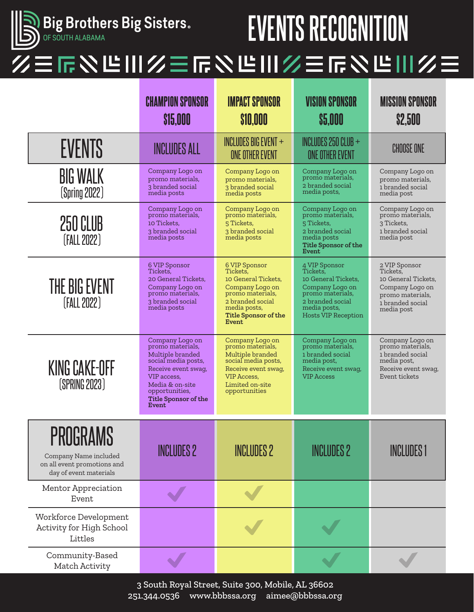

## **Big Brothers Big Sisters.** The Super Section of Section of Section 10 and Section 2015 NECOGNITION

## 三斤公哈川乡三斤公哈川乡三斤公哈川乡三

|                                                                                                   | <b>CHAMPION SPONSOR</b><br>\$15,000                                                                                                                                                                      | <b>IMPACT SPONSOR</b><br><b>\$10,000</b>                                                                                                                            | <b>VISION SPONSOR</b><br>\$5,000                                                                                                                          | <b>MISSION SPONSOR</b><br><b>\$2,500</b>                                                                                  |
|---------------------------------------------------------------------------------------------------|----------------------------------------------------------------------------------------------------------------------------------------------------------------------------------------------------------|---------------------------------------------------------------------------------------------------------------------------------------------------------------------|-----------------------------------------------------------------------------------------------------------------------------------------------------------|---------------------------------------------------------------------------------------------------------------------------|
| <b>EVENTS</b>                                                                                     | <b>INCLUDES ALL</b>                                                                                                                                                                                      | INCLUDES BIG EVENT $+$<br><b>ONE OTHER EVENT</b>                                                                                                                    | INCLUDES 250 CLUB $+$<br>ONE OTHER EVENT                                                                                                                  | <b>CHOOSE ONE</b>                                                                                                         |
| <b>BIG WALK</b><br>(Spring 2022)                                                                  | Company Logo on<br>promo materials,<br>3 branded social<br>media posts                                                                                                                                   | Company Logo on<br>promo materials,<br>3 branded social<br>media posts                                                                                              | Company Logo on<br>promo materials,<br>2 branded social<br>media posts,                                                                                   | Company Logo on<br>promo materials,<br>1 branded social<br>media post                                                     |
| 250 CLUB<br>[FALL 2022]                                                                           | Company Logo on<br>promo materials,<br>10 Tickets.<br>3 branded social<br>media posts                                                                                                                    | Company Logo on<br>promo materials,<br>5 Tickets,<br>3 branded social<br>media posts                                                                                | Company Logo on<br>promo materials,<br>5 Tickets.<br>2 branded social<br>media posts<br><b>Title Sponsor of the</b><br>Event                              | Company Logo on<br>promo materials,<br>3 Tickets.<br>1 branded social<br>media post                                       |
| <b>THE BIG EVENT</b><br>[FALL 2022]                                                               | 6 VIP Sponsor<br>Tickets.<br>20 General Tickets,<br>Company Logo on<br>promo materials,<br>3 branded social<br>media posts                                                                               | 6 VIP Sponsor<br>Tickets.<br>10 General Tickets,<br>Company Logo on<br>promo materials,<br>2 branded social<br>media posts,<br><b>Title Sponsor of the</b><br>Event | 4 VIP Sponsor<br>Tickets.<br>10 General Tickets,<br>Company Logo on<br>promo materials,<br>2 branded social<br>media posts,<br><b>Hosts VIP Reception</b> | 2 VIP Sponsor<br>Tickets,<br>10 General Tickets,<br>Company Logo on<br>promo materials,<br>1 branded social<br>media post |
| <b>KING CAKE-OFF</b><br>(SPRING 2023)                                                             | Company Logo on<br>promo materials,<br>Multiple branded<br>social media posts,<br>Receive event swag,<br>VIP access.<br>Media & on-site<br>opportunities,<br><b>Title Sponsor of the</b><br><b>Event</b> | Company Logo on<br>promo materials,<br>Multiple branded<br>social media posts,<br>Receive event swag,<br><b>VIP</b> Access,<br>Limited on-site<br>opportunities     | Company Logo on<br>promo materials,<br>1 branded social<br>media post,<br>Receive event swag,<br><b>VIP Access</b>                                        | Company Logo on<br>promo materials,<br>1 branded social<br>media post,<br>Receive event swag,<br>Event tickets            |
| <b>PROGRAMS</b><br>Company Name included<br>on all event promotions and<br>day of event materials | <b>INCLUDES 2</b>                                                                                                                                                                                        | <b>INCLUDES 2</b>                                                                                                                                                   | <b>INCLUDES 2</b>                                                                                                                                         | <b>INCLUDES 1</b>                                                                                                         |
| Mentor Appreciation<br>Event                                                                      |                                                                                                                                                                                                          |                                                                                                                                                                     |                                                                                                                                                           |                                                                                                                           |
| Workforce Development<br>Activity for High School<br>Littles                                      |                                                                                                                                                                                                          |                                                                                                                                                                     |                                                                                                                                                           |                                                                                                                           |
| Community-Based<br>Match Activity                                                                 |                                                                                                                                                                                                          |                                                                                                                                                                     |                                                                                                                                                           |                                                                                                                           |

3 South Royal Street, Suite 300, Mobile, AL 36602 251.344.0536 www.bbbssa.org aimee@bbbssa.org